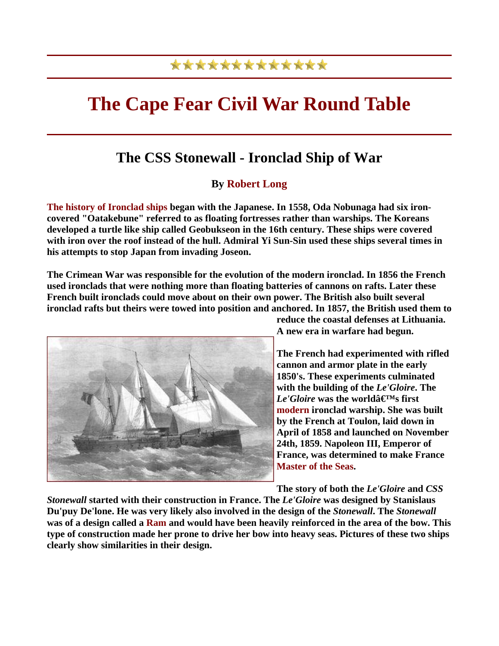## \*\*\*\*\*\*\*\*\*\*\*\*\*

## **The Cape Fear Civil War Round Table**

## **The CSS Stonewall - Ironclad Ship of War**

## **By Robert Long**

**The history of Ironclad ships began with the Japanese. In 1558, Oda Nobunaga had six ironcovered "Oatakebune" referred to as floating fortresses rather than warships. The Koreans developed a turtle like ship called Geobukseon in the 16th century. These ships were covered with iron over the roof instead of the hull. Admiral Yi Sun-Sin used these ships several times in his attempts to stop Japan from invading Joseon.** 

**The Crimean War was responsible for the evolution of the modern ironclad. In 1856 the French used ironclads that were nothing more than floating batteries of cannons on rafts. Later these French built ironclads could move about on their own power. The British also built several ironclad rafts but theirs were towed into position and anchored. In 1857, the British used them to** 



**reduce the coastal defenses at Lithuania. A new era in warfare had begun.** 

**The French had experimented with rifled cannon and armor plate in the early 1850's. These experiments culminated with the building of the** *Le'Gloire***. The**   $Le'Gloire$  **was the world** $\hat{a} \in M_s$  first **modern ironclad warship. She was built by the French at Toulon, laid down in April of 1858 and launched on November 24th, 1859. Napoleon III, Emperor of France, was determined to make France Master of the Seas.** 

**The story of both the** *Le'Gloire* **and** *CSS* 

*Stonewall* **started with their construction in France. The** *Le'Gloire* **was designed by Stanislaus Du'puy De'lone. He was very likely also involved in the design of the** *Stonewall***. The** *Stonewall* **was of a design called a Ram and would have been heavily reinforced in the area of the bow. This type of construction made her prone to drive her bow into heavy seas. Pictures of these two ships clearly show similarities in their design.**